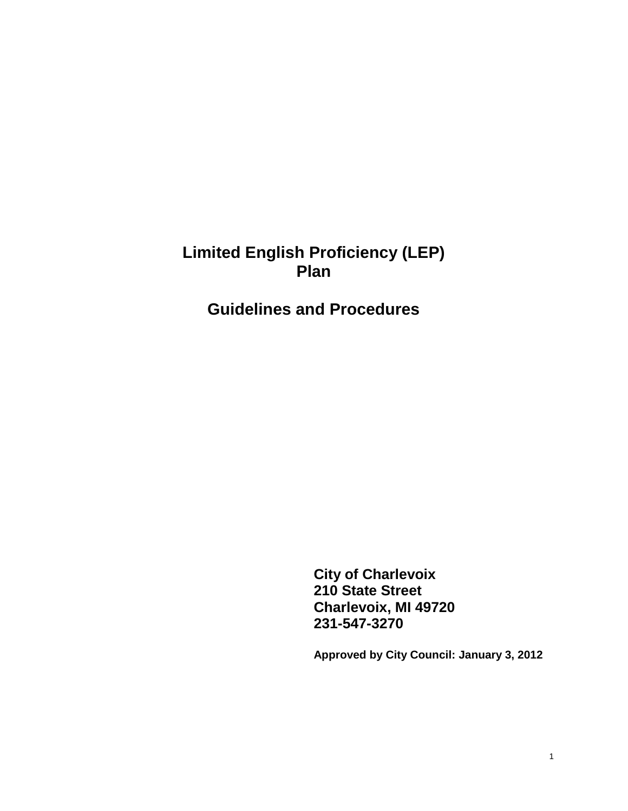# **Limited English Proficiency (LEP) Plan**

**Guidelines and Procedures**

**City of Charlevoix 210 State Street Charlevoix, MI 49720 231-547-3270**

**Approved by City Council: January 3, 2012**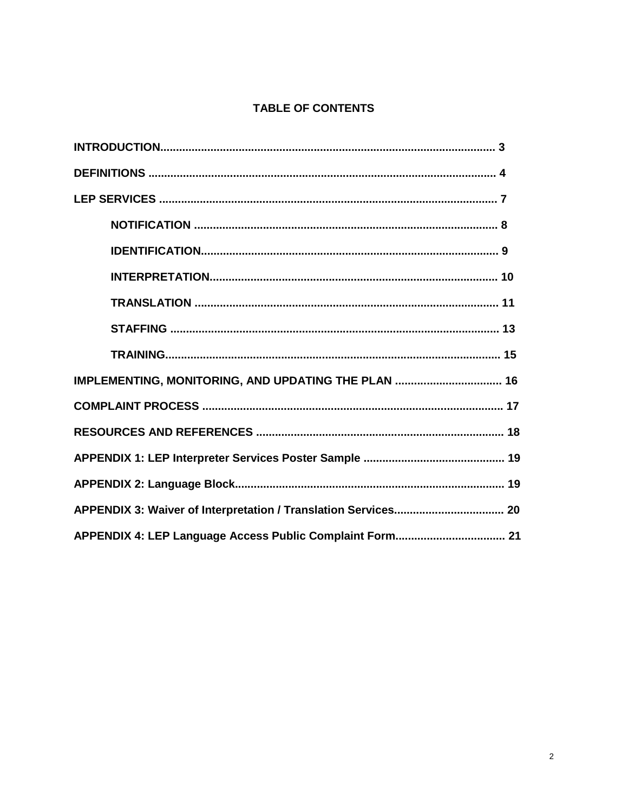## **TABLE OF CONTENTS**

| IMPLEMENTING, MONITORING, AND UPDATING THE PLAN  16 |  |  |  |
|-----------------------------------------------------|--|--|--|
|                                                     |  |  |  |
|                                                     |  |  |  |
|                                                     |  |  |  |
|                                                     |  |  |  |
|                                                     |  |  |  |
|                                                     |  |  |  |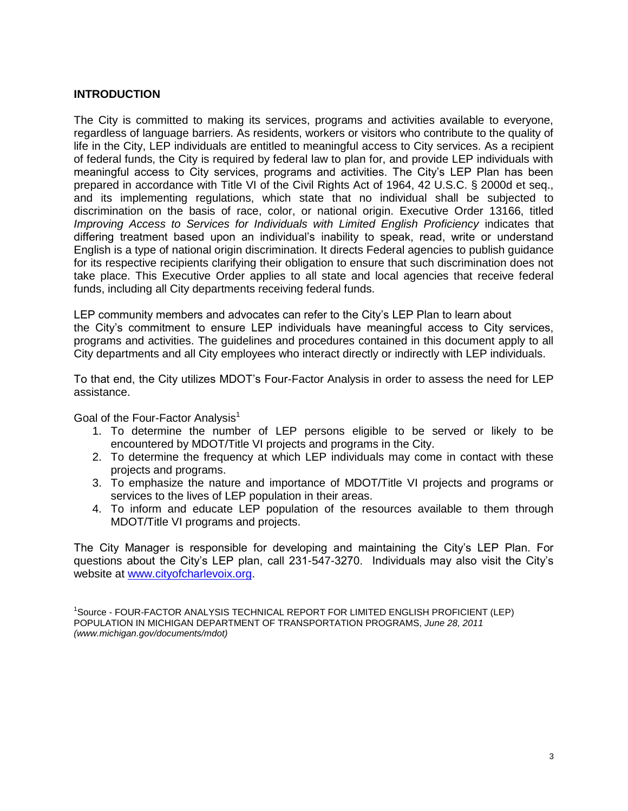## **INTRODUCTION**

The City is committed to making its services, programs and activities available to everyone, regardless of language barriers. As residents, workers or visitors who contribute to the quality of life in the City, LEP individuals are entitled to meaningful access to City services. As a recipient of federal funds, the City is required by federal law to plan for, and provide LEP individuals with meaningful access to City services, programs and activities. The City's LEP Plan has been prepared in accordance with Title VI of the Civil Rights Act of 1964, 42 U.S.C. § 2000d et seq., and its implementing regulations, which state that no individual shall be subjected to discrimination on the basis of race, color, or national origin. Executive Order 13166, titled *Improving Access to Services for Individuals with Limited English Proficiency indicates that* differing treatment based upon an individual's inability to speak, read, write or understand English is a type of national origin discrimination. It directs Federal agencies to publish guidance for its respective recipients clarifying their obligation to ensure that such discrimination does not take place. This Executive Order applies to all state and local agencies that receive federal funds, including all City departments receiving federal funds.

LEP community members and advocates can refer to the City's LEP Plan to learn about the City's commitment to ensure LEP individuals have meaningful access to City services, programs and activities. The guidelines and procedures contained in this document apply to all City departments and all City employees who interact directly or indirectly with LEP individuals.

To that end, the City utilizes MDOT's Four-Factor Analysis in order to assess the need for LEP assistance.

Goal of the Four-Factor Analysis<sup>1</sup>

- 1. To determine the number of LEP persons eligible to be served or likely to be encountered by MDOT/Title VI projects and programs in the City.
- 2. To determine the frequency at which LEP individuals may come in contact with these projects and programs.
- 3. To emphasize the nature and importance of MDOT/Title VI projects and programs or services to the lives of LEP population in their areas.
- 4. To inform and educate LEP population of the resources available to them through MDOT/Title VI programs and projects.

The City Manager is responsible for developing and maintaining the City's LEP Plan. For questions about the City's LEP plan, call 231-547-3270. Individuals may also visit the City's website at [www.cityofcharlevoix.org.](http://www.cityofcharlevoix.org/)

<sup>1</sup>Source - FOUR-FACTOR ANALYSIS TECHNICAL REPORT FOR LIMITED ENGLISH PROFICIENT (LEP) POPULATION IN MICHIGAN DEPARTMENT OF TRANSPORTATION PROGRAMS, *June 28, 2011 (www.michigan.gov/documents/mdot)*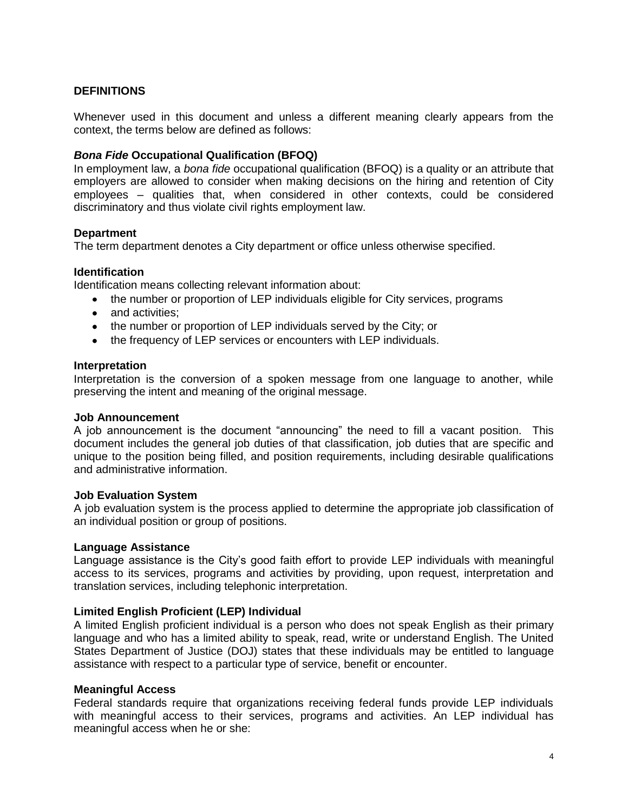## **DEFINITIONS**

Whenever used in this document and unless a different meaning clearly appears from the context, the terms below are defined as follows:

#### *Bona Fide* **Occupational Qualification (BFOQ)**

In employment law, a *bona fide* occupational qualification (BFOQ) is a quality or an attribute that employers are allowed to consider when making decisions on the hiring and retention of City employees – qualities that, when considered in other contexts, could be considered discriminatory and thus violate civil rights employment law.

#### **Department**

The term department denotes a City department or office unless otherwise specified.

#### **Identification**

Identification means collecting relevant information about:

- the number or proportion of LEP individuals eligible for City services, programs
- and activities:
- the number or proportion of LEP individuals served by the City; or
- the frequency of LEP services or encounters with LEP individuals.

#### **Interpretation**

Interpretation is the conversion of a spoken message from one language to another, while preserving the intent and meaning of the original message.

#### **Job Announcement**

A job announcement is the document "announcing" the need to fill a vacant position. This document includes the general job duties of that classification, job duties that are specific and unique to the position being filled, and position requirements, including desirable qualifications and administrative information.

#### **Job Evaluation System**

A job evaluation system is the process applied to determine the appropriate job classification of an individual position or group of positions.

#### **Language Assistance**

Language assistance is the City's good faith effort to provide LEP individuals with meaningful access to its services, programs and activities by providing, upon request, interpretation and translation services, including telephonic interpretation.

#### **Limited English Proficient (LEP) Individual**

A limited English proficient individual is a person who does not speak English as their primary language and who has a limited ability to speak, read, write or understand English. The United States Department of Justice (DOJ) states that these individuals may be entitled to language assistance with respect to a particular type of service, benefit or encounter.

#### **Meaningful Access**

Federal standards require that organizations receiving federal funds provide LEP individuals with meaningful access to their services, programs and activities. An LEP individual has meaningful access when he or she: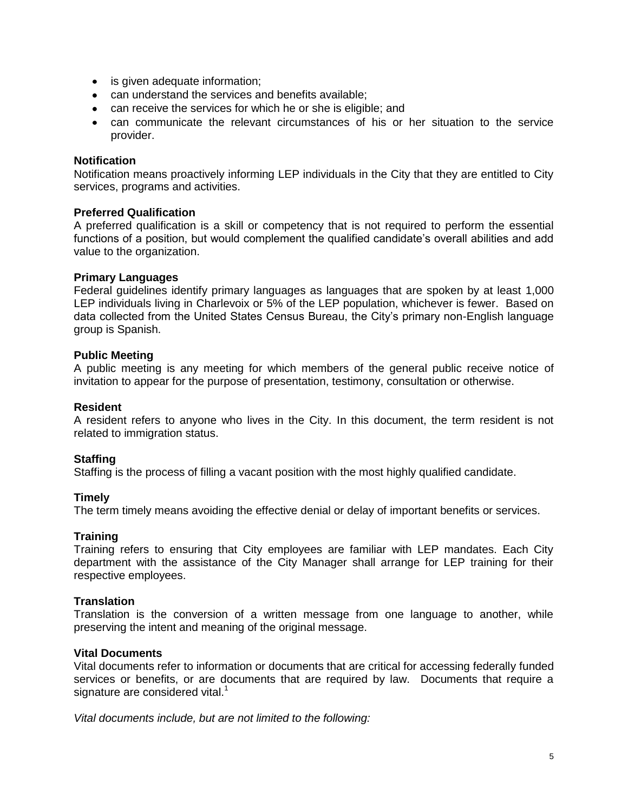- is given adequate information;
- can understand the services and benefits available;
- can receive the services for which he or she is eligible; and
- can communicate the relevant circumstances of his or her situation to the service provider.

#### **Notification**

Notification means proactively informing LEP individuals in the City that they are entitled to City services, programs and activities.

#### **Preferred Qualification**

A preferred qualification is a skill or competency that is not required to perform the essential functions of a position, but would complement the qualified candidate's overall abilities and add value to the organization.

#### **Primary Languages**

Federal guidelines identify primary languages as languages that are spoken by at least 1,000 LEP individuals living in Charlevoix or 5% of the LEP population, whichever is fewer. Based on data collected from the United States Census Bureau, the City's primary non-English language group is Spanish.

#### **Public Meeting**

A public meeting is any meeting for which members of the general public receive notice of invitation to appear for the purpose of presentation, testimony, consultation or otherwise.

#### **Resident**

A resident refers to anyone who lives in the City. In this document, the term resident is not related to immigration status.

#### **Staffing**

Staffing is the process of filling a vacant position with the most highly qualified candidate.

#### **Timely**

The term timely means avoiding the effective denial or delay of important benefits or services.

#### **Training**

Training refers to ensuring that City employees are familiar with LEP mandates. Each City department with the assistance of the City Manager shall arrange for LEP training for their respective employees.

#### **Translation**

Translation is the conversion of a written message from one language to another, while preserving the intent and meaning of the original message.

## **Vital Documents**

Vital documents refer to information or documents that are critical for accessing federally funded services or benefits, or are documents that are required by law. Documents that require a signature are considered vital. $1$ 

*Vital documents include, but are not limited to the following:*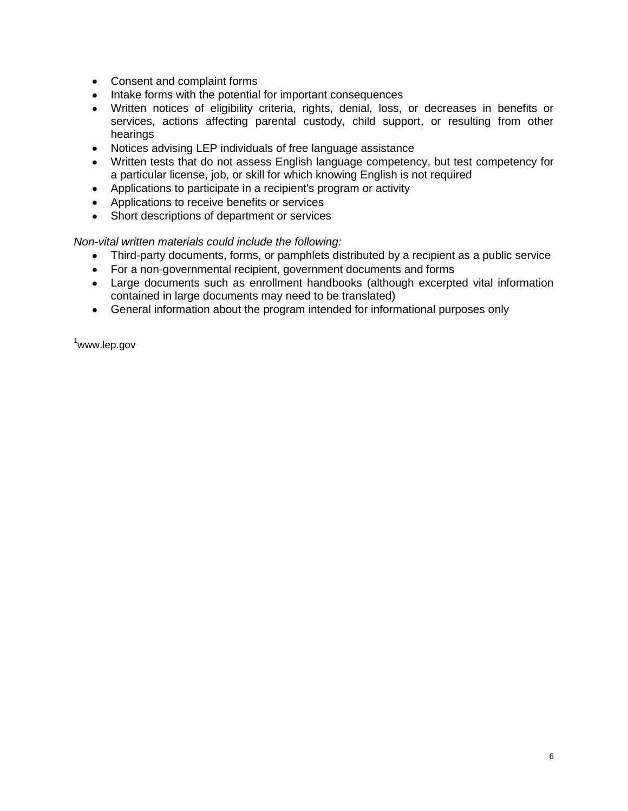- Consent and complaint forms
- Intake forms with the potential for important consequences
- Written notices of eligibility criteria, rights, denial, loss, or decreases in benefits or services, actions affecting parental custody, child support, or resulting from other hearings
- Notices advising LEP individuals of free language assistance
- Written tests that do not assess English language competency, but test competency for a particular license, job, or skill for which knowing English is not required
- Applications to participate in a recipient's program or activity
- Applications to receive benefits or services
- Short descriptions of department or services

## *Non-vital written materials could include the following:*

- Third-party documents, forms, or pamphlets distributed by a recipient as a public service  $\bullet$
- For a non-governmental recipient, government documents and forms
- Large documents such as enrollment handbooks (although excerpted vital information contained in large documents may need to be translated)
- General information about the program intended for informational purposes only

<sup>1</sup>www.lep.gov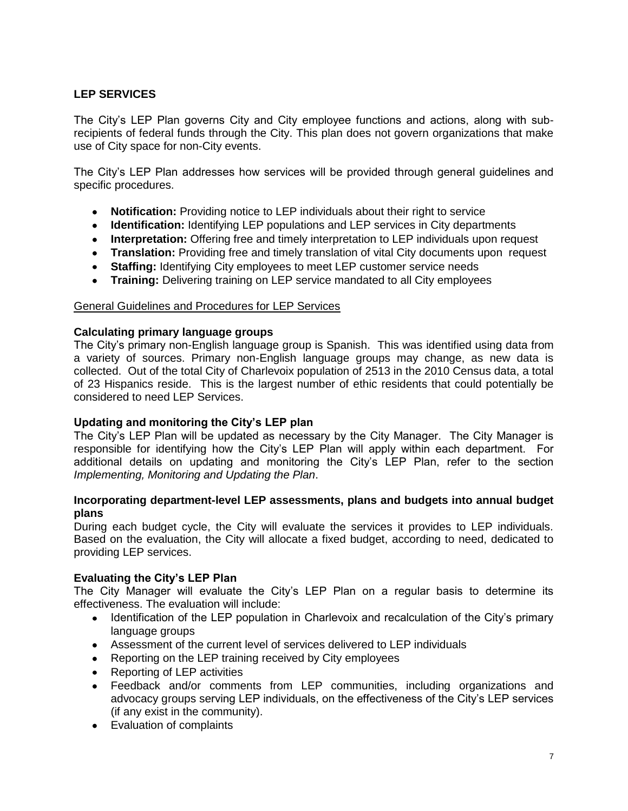## **LEP SERVICES**

The City's LEP Plan governs City and City employee functions and actions, along with subrecipients of federal funds through the City. This plan does not govern organizations that make use of City space for non-City events.

The City's LEP Plan addresses how services will be provided through general guidelines and specific procedures.

- **Notification:** Providing notice to LEP individuals about their right to service
- **Identification:** Identifying LEP populations and LEP services in City departments
- **Interpretation:** Offering free and timely interpretation to LEP individuals upon request
- **Translation:** Providing free and timely translation of vital City documents upon request
- **Staffing:** Identifying City employees to meet LEP customer service needs
- **Training:** Delivering training on LEP service mandated to all City employees

#### General Guidelines and Procedures for LEP Services

## **Calculating primary language groups**

The City's primary non-English language group is Spanish. This was identified using data from a variety of sources. Primary non-English language groups may change, as new data is collected. Out of the total City of Charlevoix population of 2513 in the 2010 Census data, a total of 23 Hispanics reside. This is the largest number of ethic residents that could potentially be considered to need LEP Services.

#### **Updating and monitoring the City's LEP plan**

The City's LEP Plan will be updated as necessary by the City Manager. The City Manager is responsible for identifying how the City's LEP Plan will apply within each department. For additional details on updating and monitoring the City's LEP Plan, refer to the section *Implementing, Monitoring and Updating the Plan*.

#### **Incorporating department-level LEP assessments, plans and budgets into annual budget plans**

During each budget cycle, the City will evaluate the services it provides to LEP individuals. Based on the evaluation, the City will allocate a fixed budget, according to need, dedicated to providing LEP services.

#### **Evaluating the City's LEP Plan**

The City Manager will evaluate the City's LEP Plan on a regular basis to determine its effectiveness. The evaluation will include:

- Identification of the LEP population in Charlevoix and recalculation of the City's primary language groups
- Assessment of the current level of services delivered to LEP individuals
- Reporting on the LEP training received by City employees
- Reporting of LEP activities
- $\bullet$ Feedback and/or comments from LEP communities, including organizations and advocacy groups serving LEP individuals, on the effectiveness of the City's LEP services (if any exist in the community).
- Evaluation of complaints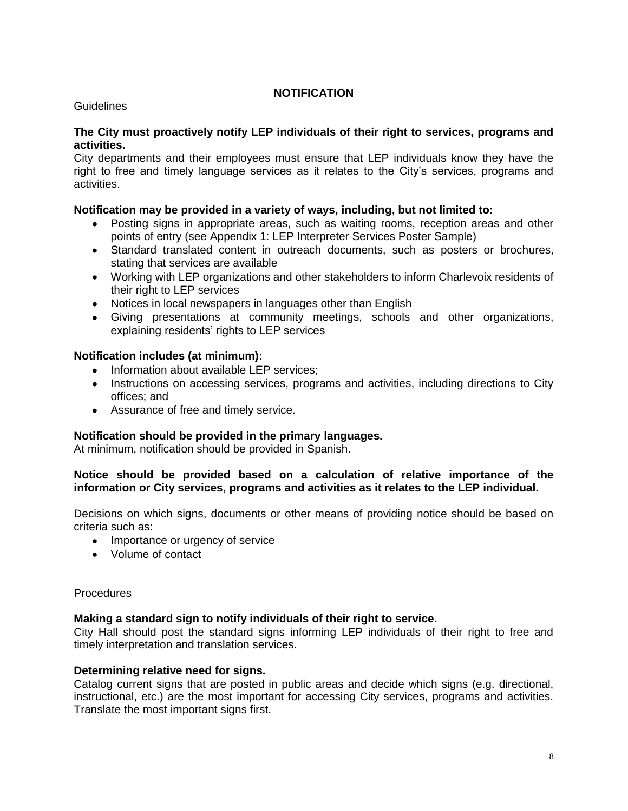## **NOTIFICATION**

## Guidelines

## **The City must proactively notify LEP individuals of their right to services, programs and activities.**

City departments and their employees must ensure that LEP individuals know they have the right to free and timely language services as it relates to the City's services, programs and activities.

## **Notification may be provided in a variety of ways, including, but not limited to:**

- Posting signs in appropriate areas, such as waiting rooms, reception areas and other  $\bullet$ points of entry (see Appendix 1: LEP Interpreter Services Poster Sample)
- Standard translated content in outreach documents, such as posters or brochures, stating that services are available
- Working with LEP organizations and other stakeholders to inform Charlevoix residents of their right to LEP services
- Notices in local newspapers in languages other than English
- Giving presentations at community meetings, schools and other organizations, explaining residents' rights to LEP services

## **Notification includes (at minimum):**

- Information about available LEP services;  $\bullet$
- Instructions on accessing services, programs and activities, including directions to City offices; and
- Assurance of free and timely service.

## **Notification should be provided in the primary languages.**

At minimum, notification should be provided in Spanish.

## **Notice should be provided based on a calculation of relative importance of the information or City services, programs and activities as it relates to the LEP individual.**

Decisions on which signs, documents or other means of providing notice should be based on criteria such as:

- Importance or urgency of service
- Volume of contact

#### **Procedures**

#### **Making a standard sign to notify individuals of their right to service.**

City Hall should post the standard signs informing LEP individuals of their right to free and timely interpretation and translation services.

#### **Determining relative need for signs.**

Catalog current signs that are posted in public areas and decide which signs (e.g. directional, instructional, etc.) are the most important for accessing City services, programs and activities. Translate the most important signs first.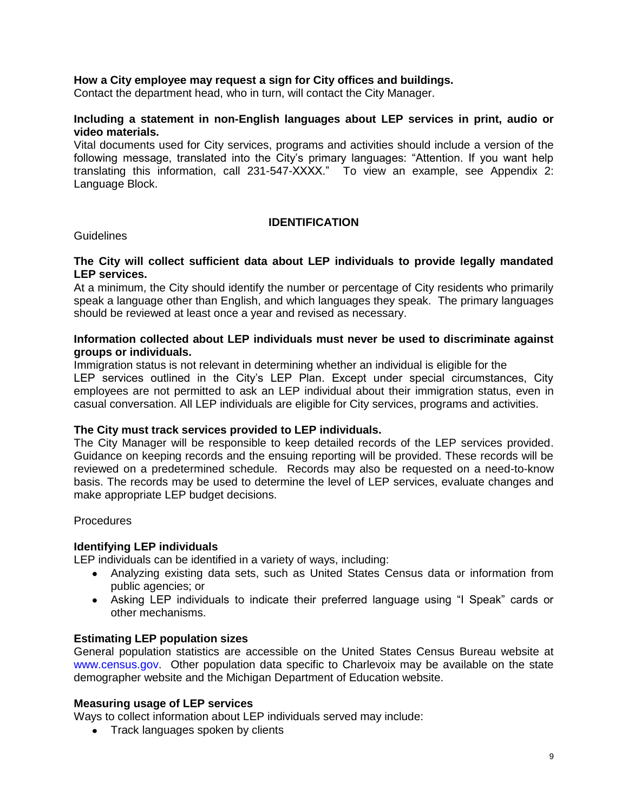## **How a City employee may request a sign for City offices and buildings.**

Contact the department head, who in turn, will contact the City Manager.

## **Including a statement in non-English languages about LEP services in print, audio or video materials.**

Vital documents used for City services, programs and activities should include a version of the following message, translated into the City's primary languages: "Attention. If you want help translating this information, call 231-547-XXXX." To view an example, see Appendix 2: Language Block.

#### **IDENTIFICATION**

#### Guidelines

#### **The City will collect sufficient data about LEP individuals to provide legally mandated LEP services.**

At a minimum, the City should identify the number or percentage of City residents who primarily speak a language other than English, and which languages they speak. The primary languages should be reviewed at least once a year and revised as necessary.

## **Information collected about LEP individuals must never be used to discriminate against groups or individuals.**

Immigration status is not relevant in determining whether an individual is eligible for the LEP services outlined in the City's LEP Plan. Except under special circumstances, City employees are not permitted to ask an LEP individual about their immigration status, even in casual conversation. All LEP individuals are eligible for City services, programs and activities.

#### **The City must track services provided to LEP individuals.**

The City Manager will be responsible to keep detailed records of the LEP services provided. Guidance on keeping records and the ensuing reporting will be provided. These records will be reviewed on a predetermined schedule. Records may also be requested on a need-to-know basis. The records may be used to determine the level of LEP services, evaluate changes and make appropriate LEP budget decisions.

**Procedures** 

#### **Identifying LEP individuals**

LEP individuals can be identified in a variety of ways, including:

- Analyzing existing data sets, such as United States Census data or information from public agencies; or
- Asking LEP individuals to indicate their preferred language using "I Speak" cards or other mechanisms.

#### **Estimating LEP population sizes**

General population statistics are accessible on the United States Census Bureau website at www.census.gov. Other population data specific to Charlevoix may be available on the state demographer website and the Michigan Department of Education website.

#### **Measuring usage of LEP services**

Ways to collect information about LEP individuals served may include:

• Track languages spoken by clients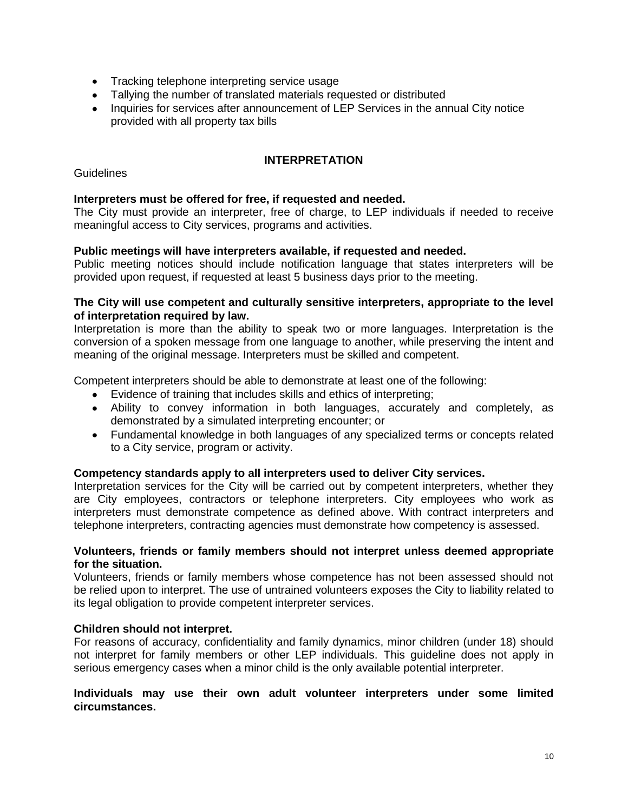- Tracking telephone interpreting service usage
- Tallying the number of translated materials requested or distributed
- Inquiries for services after announcement of LEP Services in the annual City notice provided with all property tax bills

## **INTERPRETATION**

**Guidelines** 

## **Interpreters must be offered for free, if requested and needed.**

The City must provide an interpreter, free of charge, to LEP individuals if needed to receive meaningful access to City services, programs and activities.

## **Public meetings will have interpreters available, if requested and needed.**

Public meeting notices should include notification language that states interpreters will be provided upon request, if requested at least 5 business days prior to the meeting.

## **The City will use competent and culturally sensitive interpreters, appropriate to the level of interpretation required by law.**

Interpretation is more than the ability to speak two or more languages. Interpretation is the conversion of a spoken message from one language to another, while preserving the intent and meaning of the original message. Interpreters must be skilled and competent.

Competent interpreters should be able to demonstrate at least one of the following:

- Evidence of training that includes skills and ethics of interpreting;
- Ability to convey information in both languages, accurately and completely, as demonstrated by a simulated interpreting encounter; or
- Fundamental knowledge in both languages of any specialized terms or concepts related to a City service, program or activity.

#### **Competency standards apply to all interpreters used to deliver City services.**

Interpretation services for the City will be carried out by competent interpreters, whether they are City employees, contractors or telephone interpreters. City employees who work as interpreters must demonstrate competence as defined above. With contract interpreters and telephone interpreters, contracting agencies must demonstrate how competency is assessed.

#### **Volunteers, friends or family members should not interpret unless deemed appropriate for the situation.**

Volunteers, friends or family members whose competence has not been assessed should not be relied upon to interpret. The use of untrained volunteers exposes the City to liability related to its legal obligation to provide competent interpreter services.

## **Children should not interpret.**

For reasons of accuracy, confidentiality and family dynamics, minor children (under 18) should not interpret for family members or other LEP individuals. This guideline does not apply in serious emergency cases when a minor child is the only available potential interpreter.

#### **Individuals may use their own adult volunteer interpreters under some limited circumstances.**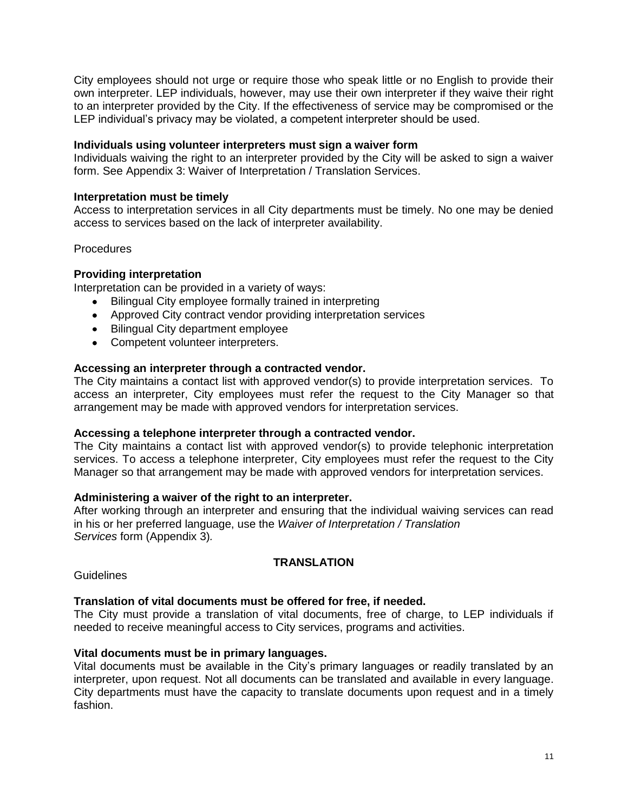City employees should not urge or require those who speak little or no English to provide their own interpreter. LEP individuals, however, may use their own interpreter if they waive their right to an interpreter provided by the City. If the effectiveness of service may be compromised or the LEP individual's privacy may be violated, a competent interpreter should be used.

## **Individuals using volunteer interpreters must sign a waiver form**

Individuals waiving the right to an interpreter provided by the City will be asked to sign a waiver form. See Appendix 3: Waiver of Interpretation / Translation Services.

## **Interpretation must be timely**

Access to interpretation services in all City departments must be timely. No one may be denied access to services based on the lack of interpreter availability.

**Procedures** 

## **Providing interpretation**

Interpretation can be provided in a variety of ways:

- Bilingual City employee formally trained in interpreting
- Approved City contract vendor providing interpretation services
- Bilingual City department employee
- Competent volunteer interpreters.

## **Accessing an interpreter through a contracted vendor.**

The City maintains a contact list with approved vendor(s) to provide interpretation services. To access an interpreter, City employees must refer the request to the City Manager so that arrangement may be made with approved vendors for interpretation services.

#### **Accessing a telephone interpreter through a contracted vendor.**

The City maintains a contact list with approved vendor(s) to provide telephonic interpretation services. To access a telephone interpreter, City employees must refer the request to the City Manager so that arrangement may be made with approved vendors for interpretation services.

#### **Administering a waiver of the right to an interpreter.**

After working through an interpreter and ensuring that the individual waiving services can read in his or her preferred language, use the *Waiver of Interpretation / Translation Services* form (Appendix 3)*.* 

#### **TRANSLATION**

**Guidelines** 

#### **Translation of vital documents must be offered for free, if needed.**

The City must provide a translation of vital documents, free of charge, to LEP individuals if needed to receive meaningful access to City services, programs and activities.

#### **Vital documents must be in primary languages.**

Vital documents must be available in the City's primary languages or readily translated by an interpreter, upon request. Not all documents can be translated and available in every language. City departments must have the capacity to translate documents upon request and in a timely fashion.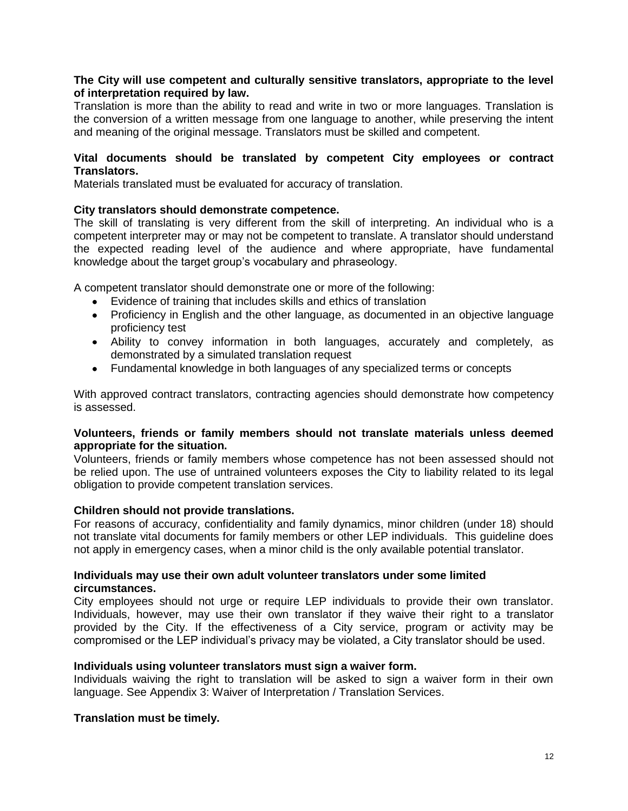## **The City will use competent and culturally sensitive translators, appropriate to the level of interpretation required by law.**

Translation is more than the ability to read and write in two or more languages. Translation is the conversion of a written message from one language to another, while preserving the intent and meaning of the original message. Translators must be skilled and competent.

## **Vital documents should be translated by competent City employees or contract Translators.**

Materials translated must be evaluated for accuracy of translation.

## **City translators should demonstrate competence.**

The skill of translating is very different from the skill of interpreting. An individual who is a competent interpreter may or may not be competent to translate. A translator should understand the expected reading level of the audience and where appropriate, have fundamental knowledge about the target group's vocabulary and phraseology.

A competent translator should demonstrate one or more of the following:

- Evidence of training that includes skills and ethics of translation
- Proficiency in English and the other language, as documented in an objective language proficiency test
- Ability to convey information in both languages, accurately and completely, as demonstrated by a simulated translation request
- Fundamental knowledge in both languages of any specialized terms or concepts

With approved contract translators, contracting agencies should demonstrate how competency is assessed.

## **Volunteers, friends or family members should not translate materials unless deemed appropriate for the situation.**

Volunteers, friends or family members whose competence has not been assessed should not be relied upon. The use of untrained volunteers exposes the City to liability related to its legal obligation to provide competent translation services.

#### **Children should not provide translations.**

For reasons of accuracy, confidentiality and family dynamics, minor children (under 18) should not translate vital documents for family members or other LEP individuals. This guideline does not apply in emergency cases, when a minor child is the only available potential translator.

## **Individuals may use their own adult volunteer translators under some limited circumstances.**

City employees should not urge or require LEP individuals to provide their own translator. Individuals, however, may use their own translator if they waive their right to a translator provided by the City. If the effectiveness of a City service, program or activity may be compromised or the LEP individual's privacy may be violated, a City translator should be used.

#### **Individuals using volunteer translators must sign a waiver form.**

Individuals waiving the right to translation will be asked to sign a waiver form in their own language. See Appendix 3: Waiver of Interpretation / Translation Services.

## **Translation must be timely.**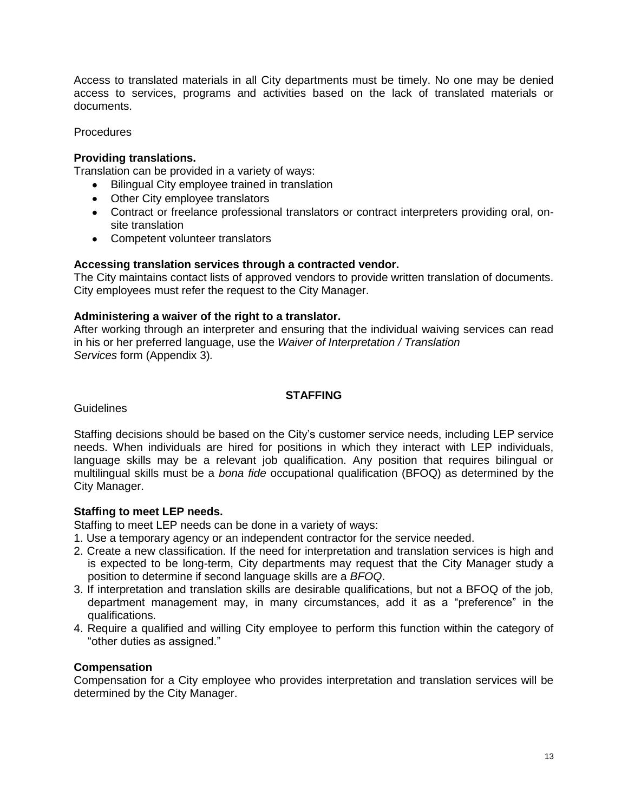Access to translated materials in all City departments must be timely. No one may be denied access to services, programs and activities based on the lack of translated materials or documents.

**Procedures** 

## **Providing translations.**

Translation can be provided in a variety of ways:

- Bilingual City employee trained in translation
- Other City employee translators
- Contract or freelance professional translators or contract interpreters providing oral, onsite translation
- Competent volunteer translators

## **Accessing translation services through a contracted vendor.**

The City maintains contact lists of approved vendors to provide written translation of documents. City employees must refer the request to the City Manager.

## **Administering a waiver of the right to a translator.**

After working through an interpreter and ensuring that the individual waiving services can read in his or her preferred language, use the *Waiver of Interpretation / Translation Services* form (Appendix 3)*.* 

## **STAFFING**

**Guidelines** 

Staffing decisions should be based on the City's customer service needs, including LEP service needs. When individuals are hired for positions in which they interact with LEP individuals, language skills may be a relevant job qualification. Any position that requires bilingual or multilingual skills must be a *bona fide* occupational qualification (BFOQ) as determined by the City Manager.

## **Staffing to meet LEP needs.**

Staffing to meet LEP needs can be done in a variety of ways:

- 1. Use a temporary agency or an independent contractor for the service needed.
- 2. Create a new classification. If the need for interpretation and translation services is high and is expected to be long-term, City departments may request that the City Manager study a position to determine if second language skills are a *BFOQ*.
- 3. If interpretation and translation skills are desirable qualifications, but not a BFOQ of the job, department management may, in many circumstances, add it as a "preference" in the qualifications.
- 4. Require a qualified and willing City employee to perform this function within the category of "other duties as assigned."

## **Compensation**

Compensation for a City employee who provides interpretation and translation services will be determined by the City Manager.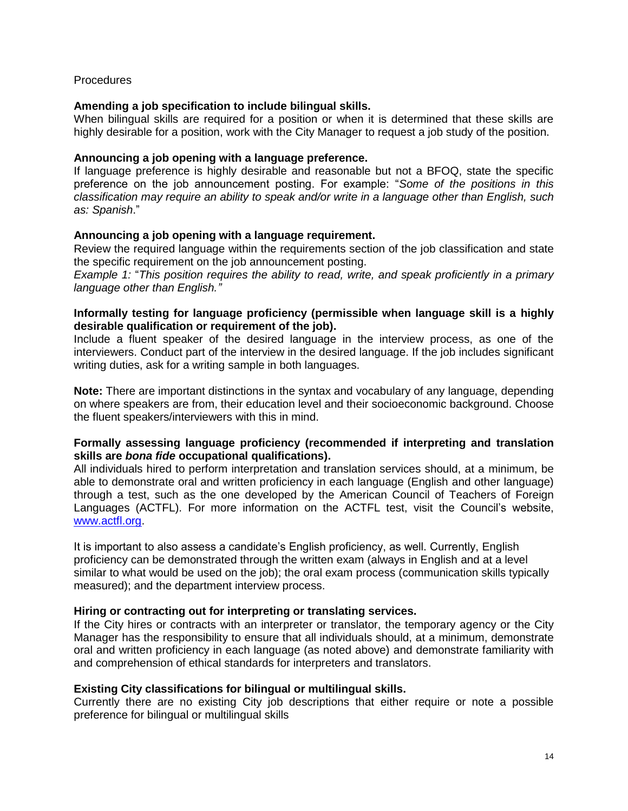## **Procedures**

## **Amending a job specification to include bilingual skills.**

When bilingual skills are required for a position or when it is determined that these skills are highly desirable for a position, work with the City Manager to request a job study of the position.

## **Announcing a job opening with a language preference.**

If language preference is highly desirable and reasonable but not a BFOQ, state the specific preference on the job announcement posting. For example: "*Some of the positions in this classification may require an ability to speak and/or write in a language other than English, such as: Spanish*."

## **Announcing a job opening with a language requirement.**

Review the required language within the requirements section of the job classification and state the specific requirement on the job announcement posting.

*Example 1:* "*This position requires the ability to read, write, and speak proficiently in a primary language other than English."*

## **Informally testing for language proficiency (permissible when language skill is a highly desirable qualification or requirement of the job).**

Include a fluent speaker of the desired language in the interview process, as one of the interviewers. Conduct part of the interview in the desired language. If the job includes significant writing duties, ask for a writing sample in both languages.

**Note:** There are important distinctions in the syntax and vocabulary of any language, depending on where speakers are from, their education level and their socioeconomic background. Choose the fluent speakers/interviewers with this in mind.

## **Formally assessing language proficiency (recommended if interpreting and translation skills are** *bona fide* **occupational qualifications).**

All individuals hired to perform interpretation and translation services should, at a minimum, be able to demonstrate oral and written proficiency in each language (English and other language) through a test, such as the one developed by the American Council of Teachers of Foreign Languages (ACTFL). For more information on the ACTFL test, visit the Council's website, [www.actfl.org.](http://www.actfl.org/)

It is important to also assess a candidate's English proficiency, as well. Currently, English proficiency can be demonstrated through the written exam (always in English and at a level similar to what would be used on the job); the oral exam process (communication skills typically measured); and the department interview process.

#### **Hiring or contracting out for interpreting or translating services.**

If the City hires or contracts with an interpreter or translator, the temporary agency or the City Manager has the responsibility to ensure that all individuals should, at a minimum, demonstrate oral and written proficiency in each language (as noted above) and demonstrate familiarity with and comprehension of ethical standards for interpreters and translators.

## **Existing City classifications for bilingual or multilingual skills.**

Currently there are no existing City job descriptions that either require or note a possible preference for bilingual or multilingual skills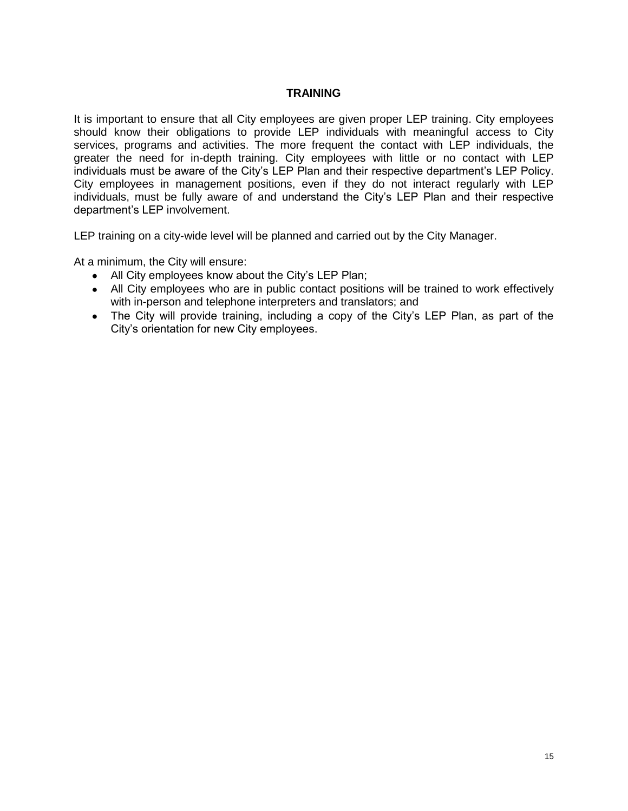## **TRAINING**

It is important to ensure that all City employees are given proper LEP training. City employees should know their obligations to provide LEP individuals with meaningful access to City services, programs and activities. The more frequent the contact with LEP individuals, the greater the need for in-depth training. City employees with little or no contact with LEP individuals must be aware of the City's LEP Plan and their respective department's LEP Policy. City employees in management positions, even if they do not interact regularly with LEP individuals, must be fully aware of and understand the City's LEP Plan and their respective department's LEP involvement.

LEP training on a city-wide level will be planned and carried out by the City Manager.

At a minimum, the City will ensure:

- All City employees know about the City's LEP Plan;
- All City employees who are in public contact positions will be trained to work effectively with in-person and telephone interpreters and translators; and
- The City will provide training, including a copy of the City's LEP Plan, as part of the City's orientation for new City employees.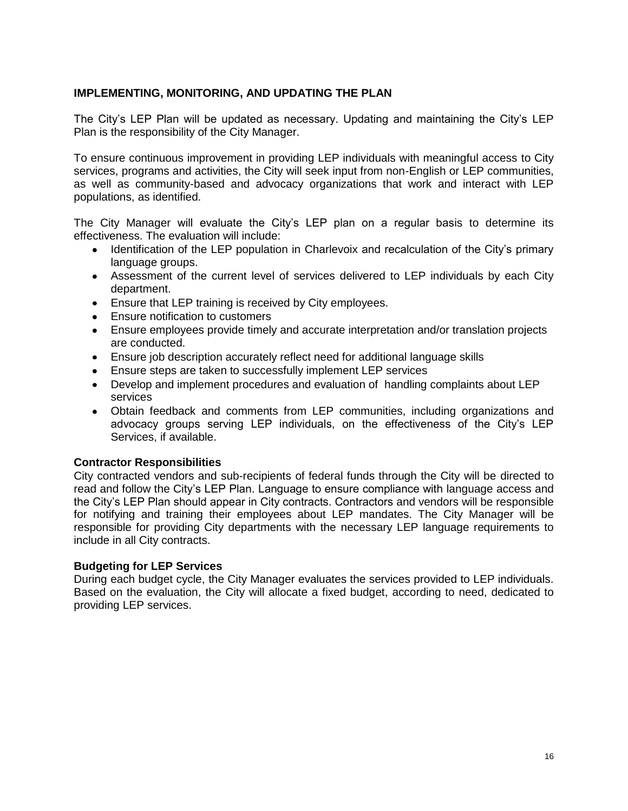## **IMPLEMENTING, MONITORING, AND UPDATING THE PLAN**

The City's LEP Plan will be updated as necessary. Updating and maintaining the City's LEP Plan is the responsibility of the City Manager.

To ensure continuous improvement in providing LEP individuals with meaningful access to City services, programs and activities, the City will seek input from non-English or LEP communities, as well as community-based and advocacy organizations that work and interact with LEP populations, as identified.

The City Manager will evaluate the City's LEP plan on a regular basis to determine its effectiveness. The evaluation will include:

- Identification of the LEP population in Charlevoix and recalculation of the City's primary language groups.
- Assessment of the current level of services delivered to LEP individuals by each City department.
- Ensure that LEP training is received by City employees.
- Ensure notification to customers
- Ensure employees provide timely and accurate interpretation and/or translation projects are conducted.
- Ensure job description accurately reflect need for additional language skills
- Ensure steps are taken to successfully implement LEP services
- Develop and implement procedures and evaluation of handling complaints about LEP services
- Obtain feedback and comments from LEP communities, including organizations and advocacy groups serving LEP individuals, on the effectiveness of the City's LEP Services, if available.

## **Contractor Responsibilities**

City contracted vendors and sub-recipients of federal funds through the City will be directed to read and follow the City's LEP Plan. Language to ensure compliance with language access and the City's LEP Plan should appear in City contracts. Contractors and vendors will be responsible for notifying and training their employees about LEP mandates. The City Manager will be responsible for providing City departments with the necessary LEP language requirements to include in all City contracts.

#### **Budgeting for LEP Services**

During each budget cycle, the City Manager evaluates the services provided to LEP individuals. Based on the evaluation, the City will allocate a fixed budget, according to need, dedicated to providing LEP services.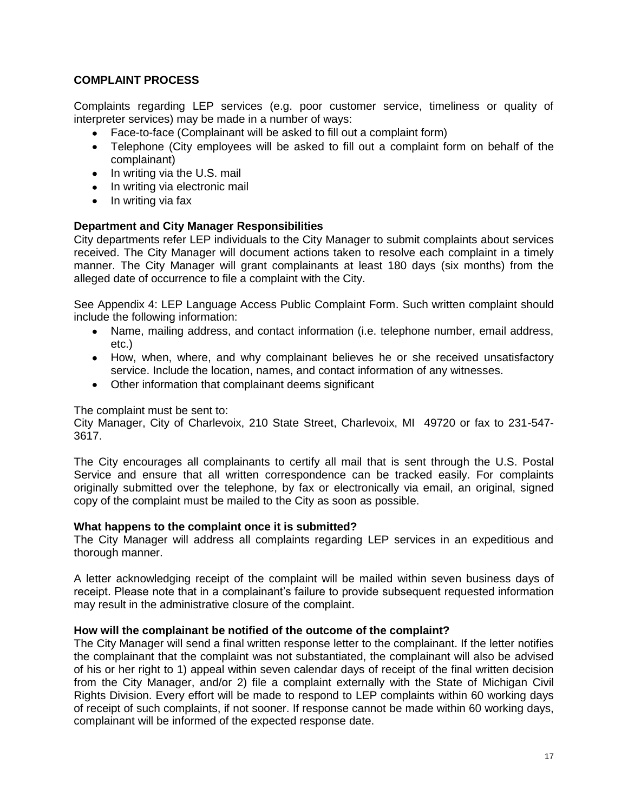## **COMPLAINT PROCESS**

Complaints regarding LEP services (e.g. poor customer service, timeliness or quality of interpreter services) may be made in a number of ways:

- Face-to-face (Complainant will be asked to fill out a complaint form)
- Telephone (City employees will be asked to fill out a complaint form on behalf of the complainant)
- $\bullet$  In writing via the U.S. mail
- In writing via electronic mail
- $\bullet$  In writing via fax

## **Department and City Manager Responsibilities**

City departments refer LEP individuals to the City Manager to submit complaints about services received. The City Manager will document actions taken to resolve each complaint in a timely manner. The City Manager will grant complainants at least 180 days (six months) from the alleged date of occurrence to file a complaint with the City.

See Appendix 4: LEP Language Access Public Complaint Form. Such written complaint should include the following information:

- Name, mailing address, and contact information (i.e. telephone number, email address, etc.)
- How, when, where, and why complainant believes he or she received unsatisfactory service. Include the location, names, and contact information of any witnesses.
- Other information that complainant deems significant

## The complaint must be sent to:

City Manager, City of Charlevoix, 210 State Street, Charlevoix, MI 49720 or fax to 231-547- 3617.

The City encourages all complainants to certify all mail that is sent through the U.S. Postal Service and ensure that all written correspondence can be tracked easily. For complaints originally submitted over the telephone, by fax or electronically via email, an original, signed copy of the complaint must be mailed to the City as soon as possible.

## **What happens to the complaint once it is submitted?**

The City Manager will address all complaints regarding LEP services in an expeditious and thorough manner.

A letter acknowledging receipt of the complaint will be mailed within seven business days of receipt. Please note that in a complainant's failure to provide subsequent requested information may result in the administrative closure of the complaint.

## **How will the complainant be notified of the outcome of the complaint?**

The City Manager will send a final written response letter to the complainant. If the letter notifies the complainant that the complaint was not substantiated, the complainant will also be advised of his or her right to 1) appeal within seven calendar days of receipt of the final written decision from the City Manager, and/or 2) file a complaint externally with the State of Michigan Civil Rights Division. Every effort will be made to respond to LEP complaints within 60 working days of receipt of such complaints, if not sooner. If response cannot be made within 60 working days, complainant will be informed of the expected response date.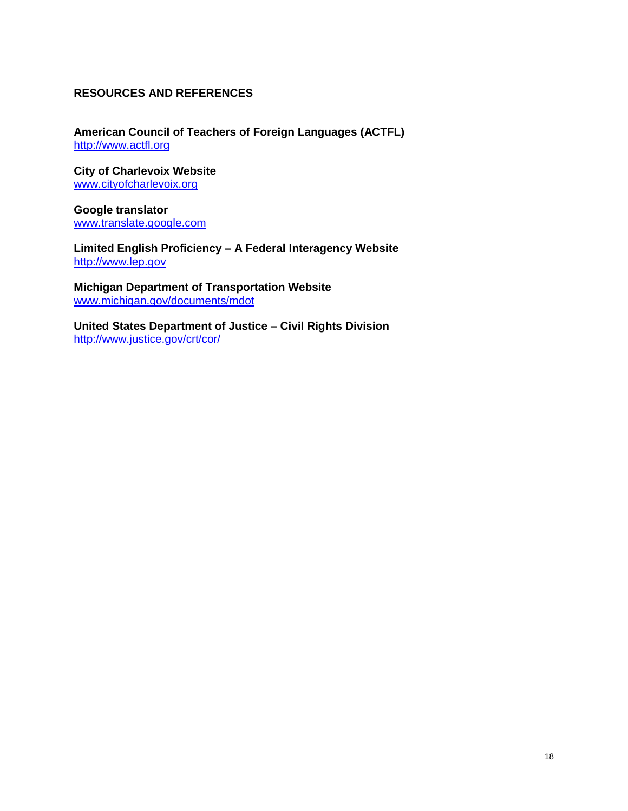## **RESOURCES AND REFERENCES**

**American Council of Teachers of Foreign Languages (ACTFL)** [http://www.actfl.org](http://www.actfl.org/)

**City of Charlevoix Website** [www.cityofcharlevoix.org](http://www.cityofcharlevoix.org/)

**Google translator** [www.translate.google.com](http://www.translate.google.com/)

**Limited English Proficiency – A Federal Interagency Website** [http://www.lep.gov](http://www.lep.gov/)

**Michigan Department of Transportation Website** [www.michigan.gov/documents/mdot](http://www.michigan.gov/documents/mdot)

**United States Department of Justice – Civil Rights Division** http://www.justice.gov/crt/cor/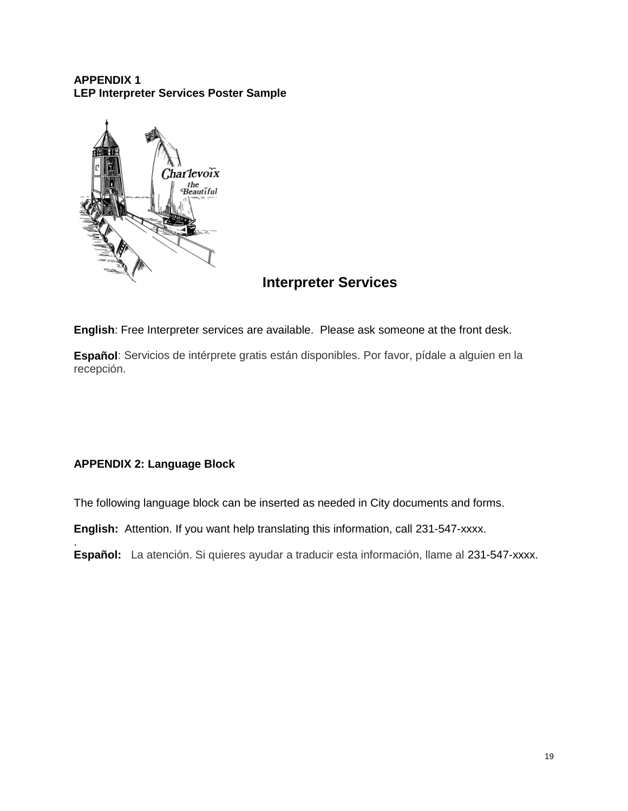## **APPENDIX 1 LEP Interpreter Services Poster Sample**



## **Interpreter Services**

**English**: Free Interpreter services are available. Please ask someone at the front desk.

**Español**: Servicios de intérprete gratis están disponibles. Por favor, pídale a alguien en la recepción.

## **APPENDIX 2: Language Block**

.

The following language block can be inserted as needed in City documents and forms.

**English:** Attention. If you want help translating this information, call 231-547-xxxx.

**Español:** La atención. Si quieres ayudar a traducir esta información, llame al 231-547-xxxx.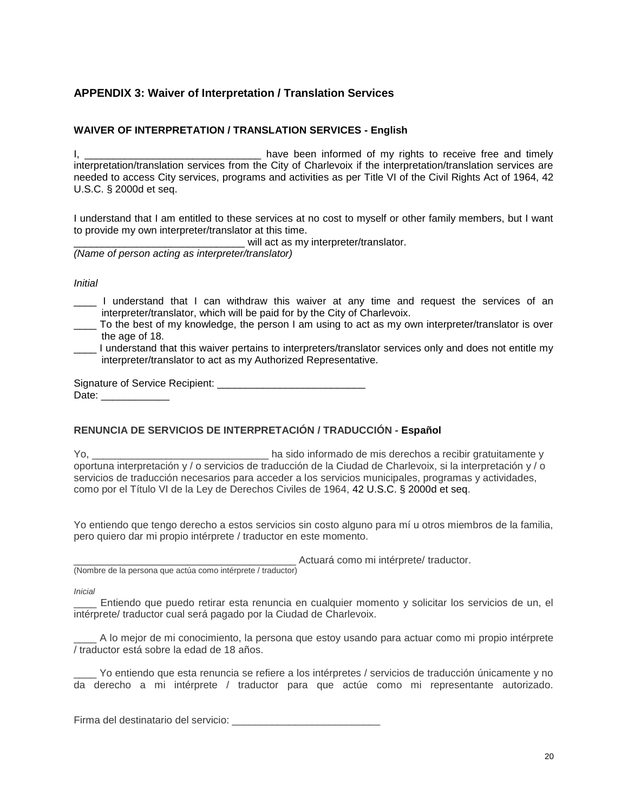## **APPENDIX 3: Waiver of Interpretation / Translation Services**

## **WAIVER OF INTERPRETATION / TRANSLATION SERVICES - English**

I, the contract term in the been informed of my rights to receive free and timely interpretation/translation services from the City of Charlevoix if the interpretation/translation services are needed to access City services, programs and activities as per Title VI of the Civil Rights Act of 1964, 42 U.S.C. § 2000d et seq.

I understand that I am entitled to these services at no cost to myself or other family members, but I want to provide my own interpreter/translator at this time.

will act as my interpreter/translator.

*(Name of person acting as interpreter/translator)*

*Initial*

- \_\_\_\_ I understand that I can withdraw this waiver at any time and request the services of an interpreter/translator, which will be paid for by the City of Charlevoix.
- \_\_\_\_ To the best of my knowledge, the person I am using to act as my own interpreter/translator is over the age of 18.
- I understand that this waiver pertains to interpreters/translator services only and does not entitle my interpreter/translator to act as my Authorized Representative.

Signature of Service Recipient: Date: \_\_\_\_\_\_\_\_\_\_\_\_\_\_

#### **RENUNCIA DE SERVICIOS DE INTERPRETACIÓN / TRADUCCIÓN - Español**

Yo, \_\_\_\_\_\_\_\_\_\_\_\_\_\_\_\_\_\_\_\_\_\_\_\_\_\_\_\_\_\_\_ ha sido informado de mis derechos a recibir gratuitamente y oportuna interpretación y / o servicios de traducción de la Ciudad de Charlevoix, si la interpretación y / o servicios de traducción necesarios para acceder a los servicios municipales, programas y actividades, como por el Título VI de la Ley de Derechos Civiles de 1964, 42 U.S.C. § 2000d et seq.

Yo entiendo que tengo derecho a estos servicios sin costo alguno para mí u otros miembros de la familia, pero quiero dar mi propio intérprete / traductor en este momento.

Actuará como mi intérprete/ traductor. (Nombre de la persona que actúa como intérprete / traductor)

*Inicial*

Entiendo que puedo retirar esta renuncia en cualquier momento y solicitar los servicios de un, el intérprete/ traductor cual será pagado por la Ciudad de Charlevoix.

\_\_\_\_ A lo mejor de mi conocimiento, la persona que estoy usando para actuar como mi propio intérprete / traductor está sobre la edad de 18 años.

Yo entiendo que esta renuncia se refiere a los intérpretes / servicios de traducción únicamente y no da derecho a mi intérprete / traductor para que actúe como mi representante autorizado.

Firma del destinatario del servicio: \_\_\_\_\_\_\_\_\_\_\_\_\_\_\_\_\_\_\_\_\_\_\_\_\_\_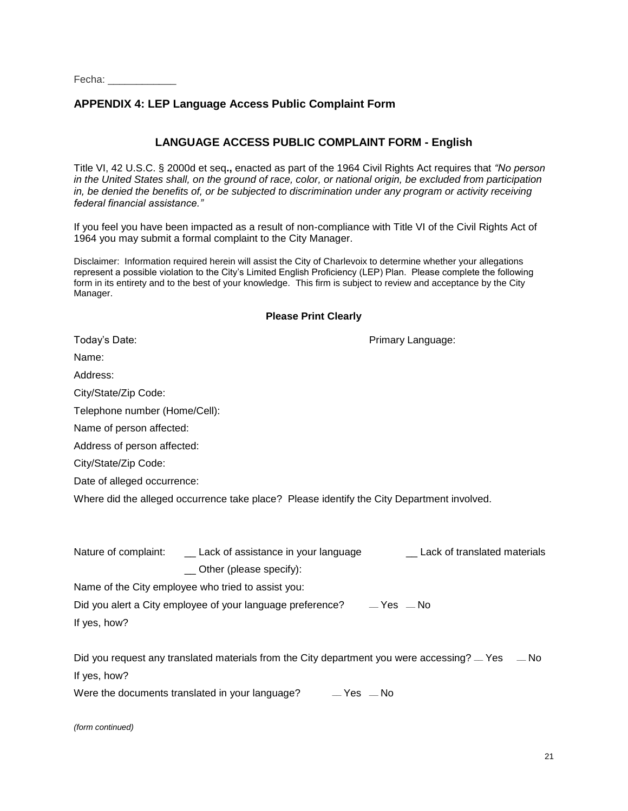Fecha:

## **APPENDIX 4: LEP Language Access Public Complaint Form**

## **LANGUAGE ACCESS PUBLIC COMPLAINT FORM - English**

Title VI, 42 U.S.C. § 2000d et seq**.,** enacted as part of the 1964 Civil Rights Act requires that *"No person in the United States shall, on the ground of race, color, or national origin, be excluded from participation in, be denied the benefits of, or be subjected to discrimination under any program or activity receiving federal financial assistance."*

If you feel you have been impacted as a result of non-compliance with Title VI of the Civil Rights Act of 1964 you may submit a formal complaint to the City Manager.

Disclaimer: Information required herein will assist the City of Charlevoix to determine whether your allegations represent a possible violation to the City's Limited English Proficiency (LEP) Plan. Please complete the following form in its entirety and to the best of your knowledge. This firm is subject to review and acceptance by the City Manager.

#### **Please Print Clearly**

| Today's Date:                                                                              | Primary Language:              |  |  |
|--------------------------------------------------------------------------------------------|--------------------------------|--|--|
| Name:                                                                                      |                                |  |  |
| Address:                                                                                   |                                |  |  |
| City/State/Zip Code:                                                                       |                                |  |  |
| Telephone number (Home/Cell):                                                              |                                |  |  |
| Name of person affected:                                                                   |                                |  |  |
| Address of person affected:                                                                |                                |  |  |
| City/State/Zip Code:                                                                       |                                |  |  |
| Date of alleged occurrence:                                                                |                                |  |  |
| Where did the alleged occurrence take place? Please identify the City Department involved. |                                |  |  |
|                                                                                            |                                |  |  |
| Nature of complaint: _____ Lack of assistance in your language                             | _ Lack of translated materials |  |  |
| _ Other (please specify):                                                                  |                                |  |  |
| Name of the City employee who tried to assist you:                                         |                                |  |  |
| Did you alert a City employee of your language preference? ___ Yes __ No                   |                                |  |  |
| If yes, how?                                                                               |                                |  |  |
|                                                                                            |                                |  |  |
|                                                                                            |                                |  |  |
| If yes, how?                                                                               |                                |  |  |
| Were the documents translated in your language? $\Box$ Yes $\Box$ No                       |                                |  |  |

*(form continued)*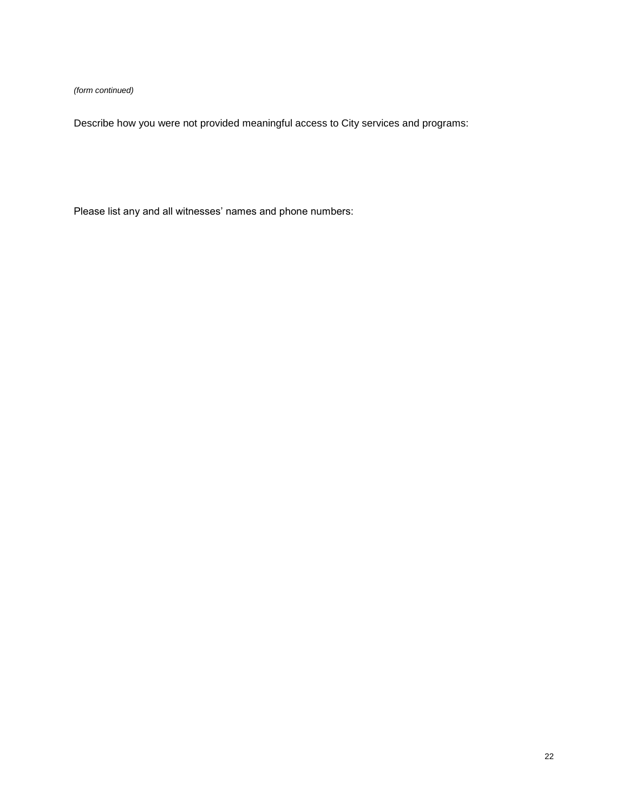*(form continued)*

Describe how you were not provided meaningful access to City services and programs:

Please list any and all witnesses' names and phone numbers: